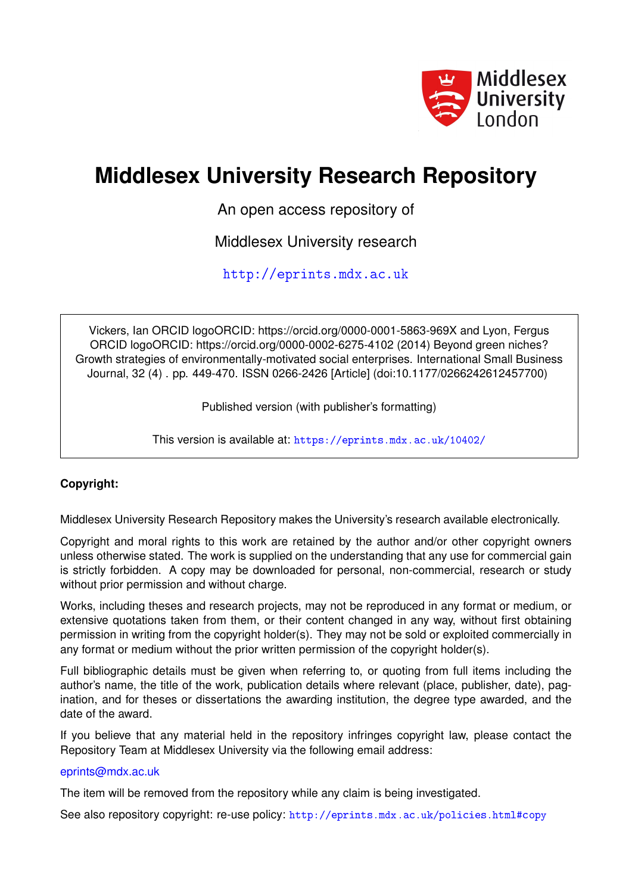

# **Middlesex University Research Repository**

An open access repository of

Middlesex University research

<http://eprints.mdx.ac.uk>

Vickers, Ian ORCID logoORCID: https://orcid.org/0000-0001-5863-969X and Lyon, Fergus ORCID logoORCID: https://orcid.org/0000-0002-6275-4102 (2014) Beyond green niches? Growth strategies of environmentally-motivated social enterprises. International Small Business Journal, 32 (4) . pp. 449-470. ISSN 0266-2426 [Article] (doi:10.1177/0266242612457700)

Published version (with publisher's formatting)

This version is available at: <https://eprints.mdx.ac.uk/10402/>

# **Copyright:**

Middlesex University Research Repository makes the University's research available electronically.

Copyright and moral rights to this work are retained by the author and/or other copyright owners unless otherwise stated. The work is supplied on the understanding that any use for commercial gain is strictly forbidden. A copy may be downloaded for personal, non-commercial, research or study without prior permission and without charge.

Works, including theses and research projects, may not be reproduced in any format or medium, or extensive quotations taken from them, or their content changed in any way, without first obtaining permission in writing from the copyright holder(s). They may not be sold or exploited commercially in any format or medium without the prior written permission of the copyright holder(s).

Full bibliographic details must be given when referring to, or quoting from full items including the author's name, the title of the work, publication details where relevant (place, publisher, date), pagination, and for theses or dissertations the awarding institution, the degree type awarded, and the date of the award.

If you believe that any material held in the repository infringes copyright law, please contact the Repository Team at Middlesex University via the following email address:

# [eprints@mdx.ac.uk](mailto:eprints@mdx.ac.uk)

The item will be removed from the repository while any claim is being investigated.

See also repository copyright: re-use policy: <http://eprints.mdx.ac.uk/policies.html#copy>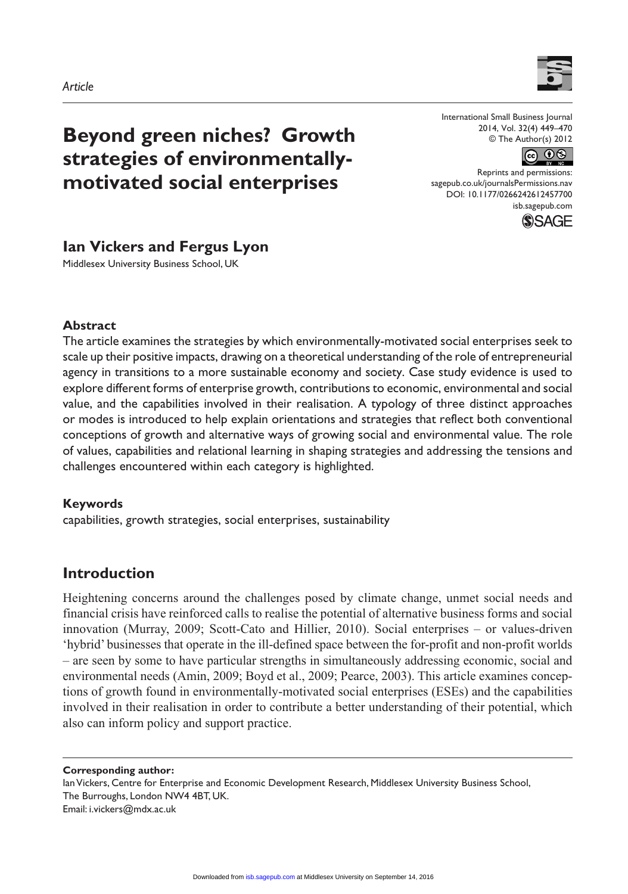

International Small Business Journal 2014, Vol. 32(4) 449–470 © The Author(s) 2012



Reprints and permissions: sagepub.co.uk/journalsPermissions.nav DOI: 10.1177/0266242612457700 isb.sagepub.com



# **Beyond green niches? Growth strategies of environmentallymotivated social enterprises**

# **Ian Vickers and Fergus Lyon**

Middlesex University Business School, UK

## **Abstract**

The article examines the strategies by which environmentally-motivated social enterprises seek to scale up their positive impacts, drawing on a theoretical understanding of the role of entrepreneurial agency in transitions to a more sustainable economy and society. Case study evidence is used to explore different forms of enterprise growth, contributions to economic, environmental and social value, and the capabilities involved in their realisation. A typology of three distinct approaches or modes is introduced to help explain orientations and strategies that reflect both conventional conceptions of growth and alternative ways of growing social and environmental value. The role of values, capabilities and relational learning in shaping strategies and addressing the tensions and challenges encountered within each category is highlighted.

# **Keywords**

capabilities, growth strategies, social enterprises, sustainability

# **Introduction**

Heightening concerns around the challenges posed by climate change, unmet social needs and financial crisis have reinforced calls to realise the potential of alternative business forms and social innovation (Murray, 2009; Scott-Cato and Hillier, 2010). Social enterprises – or values-driven 'hybrid' businesses that operate in the ill-defined space between the for-profit and non-profit worlds – are seen by some to have particular strengths in simultaneously addressing economic, social and environmental needs (Amin, 2009; Boyd et al., 2009; Pearce, 2003). This article examines conceptions of growth found in environmentally-motivated social enterprises (ESEs) and the capabilities involved in their realisation in order to contribute a better understanding of their potential, which also can inform policy and support practice.

**Corresponding author:**

Ian Vickers, Centre for Enterprise and Economic Development Research, Middlesex University Business School, The Burroughs, London NW4 4BT, UK. Email: i.vickers@mdx.ac.uk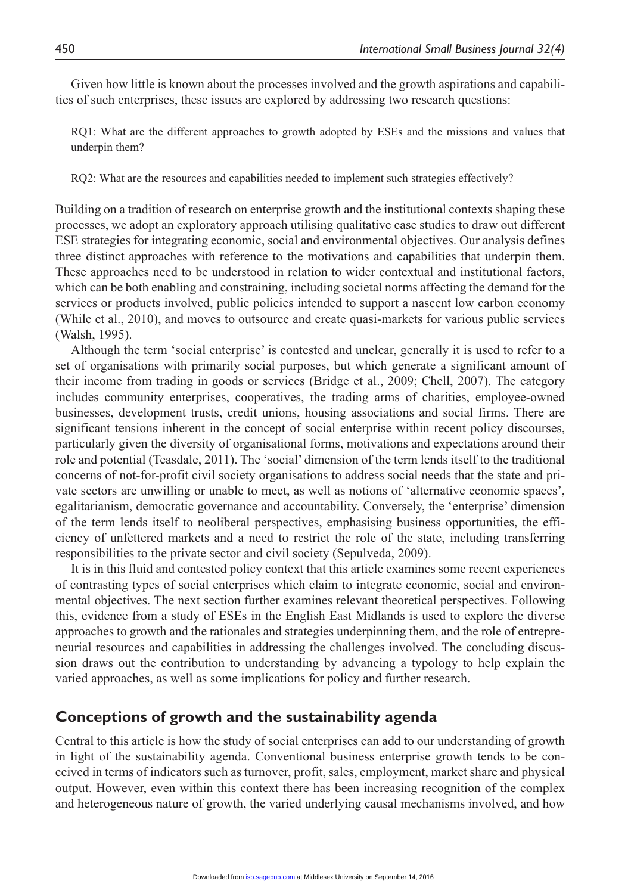Given how little is known about the processes involved and the growth aspirations and capabilities of such enterprises, these issues are explored by addressing two research questions:

RQ1: What are the different approaches to growth adopted by ESEs and the missions and values that underpin them?

RQ2: What are the resources and capabilities needed to implement such strategies effectively?

Building on a tradition of research on enterprise growth and the institutional contexts shaping these processes, we adopt an exploratory approach utilising qualitative case studies to draw out different ESE strategies for integrating economic, social and environmental objectives. Our analysis defines three distinct approaches with reference to the motivations and capabilities that underpin them. These approaches need to be understood in relation to wider contextual and institutional factors, which can be both enabling and constraining, including societal norms affecting the demand for the services or products involved, public policies intended to support a nascent low carbon economy (While et al., 2010), and moves to outsource and create quasi-markets for various public services (Walsh, 1995).

Although the term 'social enterprise' is contested and unclear, generally it is used to refer to a set of organisations with primarily social purposes, but which generate a significant amount of their income from trading in goods or services (Bridge et al., 2009; Chell, 2007). The category includes community enterprises, cooperatives, the trading arms of charities, employee-owned businesses, development trusts, credit unions, housing associations and social firms. There are significant tensions inherent in the concept of social enterprise within recent policy discourses, particularly given the diversity of organisational forms, motivations and expectations around their role and potential (Teasdale, 2011). The 'social' dimension of the term lends itself to the traditional concerns of not-for-profit civil society organisations to address social needs that the state and private sectors are unwilling or unable to meet, as well as notions of 'alternative economic spaces', egalitarianism, democratic governance and accountability. Conversely, the 'enterprise' dimension of the term lends itself to neoliberal perspectives, emphasising business opportunities, the efficiency of unfettered markets and a need to restrict the role of the state, including transferring responsibilities to the private sector and civil society (Sepulveda, 2009).

It is in this fluid and contested policy context that this article examines some recent experiences of contrasting types of social enterprises which claim to integrate economic, social and environmental objectives. The next section further examines relevant theoretical perspectives. Following this, evidence from a study of ESEs in the English East Midlands is used to explore the diverse approaches to growth and the rationales and strategies underpinning them, and the role of entrepreneurial resources and capabilities in addressing the challenges involved. The concluding discussion draws out the contribution to understanding by advancing a typology to help explain the varied approaches, as well as some implications for policy and further research.

# **Conceptions of growth and the sustainability agenda**

Central to this article is how the study of social enterprises can add to our understanding of growth in light of the sustainability agenda. Conventional business enterprise growth tends to be conceived in terms of indicators such as turnover, profit, sales, employment, market share and physical output. However, even within this context there has been increasing recognition of the complex and heterogeneous nature of growth, the varied underlying causal mechanisms involved, and how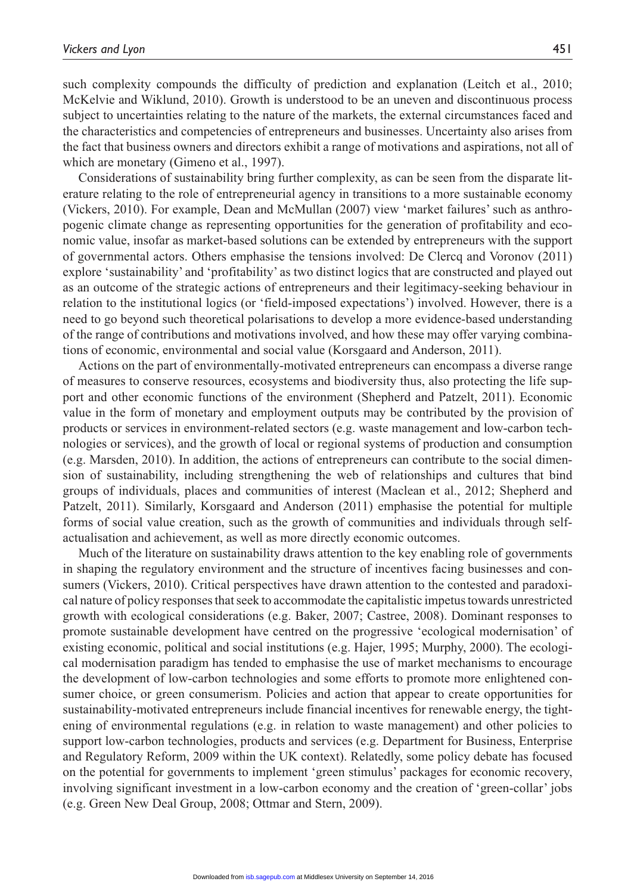such complexity compounds the difficulty of prediction and explanation (Leitch et al., 2010; McKelvie and Wiklund, 2010). Growth is understood to be an uneven and discontinuous process subject to uncertainties relating to the nature of the markets, the external circumstances faced and the characteristics and competencies of entrepreneurs and businesses. Uncertainty also arises from the fact that business owners and directors exhibit a range of motivations and aspirations, not all of which are monetary (Gimeno et al., 1997).

Considerations of sustainability bring further complexity, as can be seen from the disparate literature relating to the role of entrepreneurial agency in transitions to a more sustainable economy (Vickers, 2010). For example, Dean and McMullan (2007) view 'market failures' such as anthropogenic climate change as representing opportunities for the generation of profitability and economic value, insofar as market-based solutions can be extended by entrepreneurs with the support of governmental actors. Others emphasise the tensions involved: De Clercq and Voronov (2011) explore 'sustainability' and 'profitability' as two distinct logics that are constructed and played out as an outcome of the strategic actions of entrepreneurs and their legitimacy-seeking behaviour in relation to the institutional logics (or 'field-imposed expectations') involved. However, there is a need to go beyond such theoretical polarisations to develop a more evidence-based understanding of the range of contributions and motivations involved, and how these may offer varying combinations of economic, environmental and social value (Korsgaard and Anderson, 2011).

Actions on the part of environmentally-motivated entrepreneurs can encompass a diverse range of measures to conserve resources, ecosystems and biodiversity thus, also protecting the life support and other economic functions of the environment (Shepherd and Patzelt, 2011). Economic value in the form of monetary and employment outputs may be contributed by the provision of products or services in environment-related sectors (e.g. waste management and low-carbon technologies or services), and the growth of local or regional systems of production and consumption (e.g. Marsden, 2010). In addition, the actions of entrepreneurs can contribute to the social dimension of sustainability, including strengthening the web of relationships and cultures that bind groups of individuals, places and communities of interest (Maclean et al., 2012; Shepherd and Patzelt, 2011). Similarly, Korsgaard and Anderson (2011) emphasise the potential for multiple forms of social value creation, such as the growth of communities and individuals through selfactualisation and achievement, as well as more directly economic outcomes.

Much of the literature on sustainability draws attention to the key enabling role of governments in shaping the regulatory environment and the structure of incentives facing businesses and consumers (Vickers, 2010). Critical perspectives have drawn attention to the contested and paradoxical nature of policy responses that seek to accommodate the capitalistic impetus towards unrestricted growth with ecological considerations (e.g. Baker, 2007; Castree, 2008). Dominant responses to promote sustainable development have centred on the progressive 'ecological modernisation' of existing economic, political and social institutions (e.g. Hajer, 1995; Murphy, 2000). The ecological modernisation paradigm has tended to emphasise the use of market mechanisms to encourage the development of low-carbon technologies and some efforts to promote more enlightened consumer choice, or green consumerism. Policies and action that appear to create opportunities for sustainability-motivated entrepreneurs include financial incentives for renewable energy, the tightening of environmental regulations (e.g. in relation to waste management) and other policies to support low-carbon technologies, products and services (e.g. Department for Business, Enterprise and Regulatory Reform, 2009 within the UK context). Relatedly, some policy debate has focused on the potential for governments to implement 'green stimulus' packages for economic recovery, involving significant investment in a low-carbon economy and the creation of 'green-collar' jobs (e.g. Green New Deal Group, 2008; Ottmar and Stern, 2009).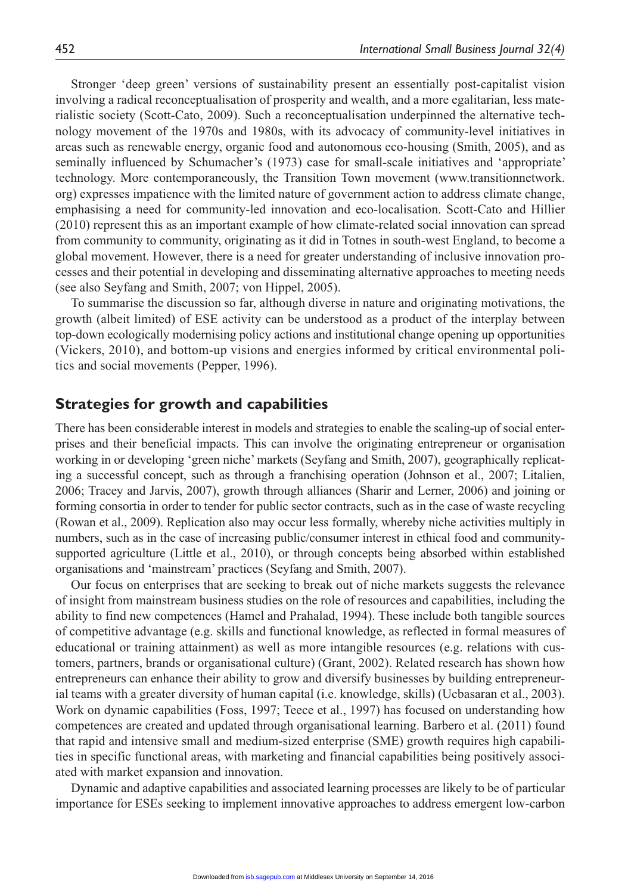Stronger 'deep green' versions of sustainability present an essentially post-capitalist vision involving a radical reconceptualisation of prosperity and wealth, and a more egalitarian, less materialistic society (Scott-Cato, 2009). Such a reconceptualisation underpinned the alternative technology movement of the 1970s and 1980s, with its advocacy of community-level initiatives in areas such as renewable energy, organic food and autonomous eco-housing (Smith, 2005), and as seminally influenced by Schumacher's (1973) case for small-scale initiatives and 'appropriate' technology. More contemporaneously, the Transition Town movement (www.transitionnetwork. org) expresses impatience with the limited nature of government action to address climate change, emphasising a need for community-led innovation and eco-localisation. Scott-Cato and Hillier (2010) represent this as an important example of how climate-related social innovation can spread from community to community, originating as it did in Totnes in south-west England, to become a global movement. However, there is a need for greater understanding of inclusive innovation processes and their potential in developing and disseminating alternative approaches to meeting needs (see also Seyfang and Smith, 2007; von Hippel, 2005).

To summarise the discussion so far, although diverse in nature and originating motivations, the growth (albeit limited) of ESE activity can be understood as a product of the interplay between top-down ecologically modernising policy actions and institutional change opening up opportunities (Vickers, 2010), and bottom-up visions and energies informed by critical environmental politics and social movements (Pepper, 1996).

#### **Strategies for growth and capabilities**

There has been considerable interest in models and strategies to enable the scaling-up of social enterprises and their beneficial impacts. This can involve the originating entrepreneur or organisation working in or developing 'green niche' markets (Seyfang and Smith, 2007), geographically replicating a successful concept, such as through a franchising operation (Johnson et al., 2007; Litalien, 2006; Tracey and Jarvis, 2007), growth through alliances (Sharir and Lerner, 2006) and joining or forming consortia in order to tender for public sector contracts, such as in the case of waste recycling (Rowan et al., 2009). Replication also may occur less formally, whereby niche activities multiply in numbers, such as in the case of increasing public/consumer interest in ethical food and communitysupported agriculture (Little et al., 2010), or through concepts being absorbed within established organisations and 'mainstream' practices (Seyfang and Smith, 2007).

Our focus on enterprises that are seeking to break out of niche markets suggests the relevance of insight from mainstream business studies on the role of resources and capabilities, including the ability to find new competences (Hamel and Prahalad, 1994). These include both tangible sources of competitive advantage (e.g. skills and functional knowledge, as reflected in formal measures of educational or training attainment) as well as more intangible resources (e.g. relations with customers, partners, brands or organisational culture) (Grant, 2002). Related research has shown how entrepreneurs can enhance their ability to grow and diversify businesses by building entrepreneurial teams with a greater diversity of human capital (i.e. knowledge, skills) (Ucbasaran et al., 2003). Work on dynamic capabilities (Foss, 1997; Teece et al., 1997) has focused on understanding how competences are created and updated through organisational learning. Barbero et al. (2011) found that rapid and intensive small and medium-sized enterprise (SME) growth requires high capabilities in specific functional areas, with marketing and financial capabilities being positively associated with market expansion and innovation.

Dynamic and adaptive capabilities and associated learning processes are likely to be of particular importance for ESEs seeking to implement innovative approaches to address emergent low-carbon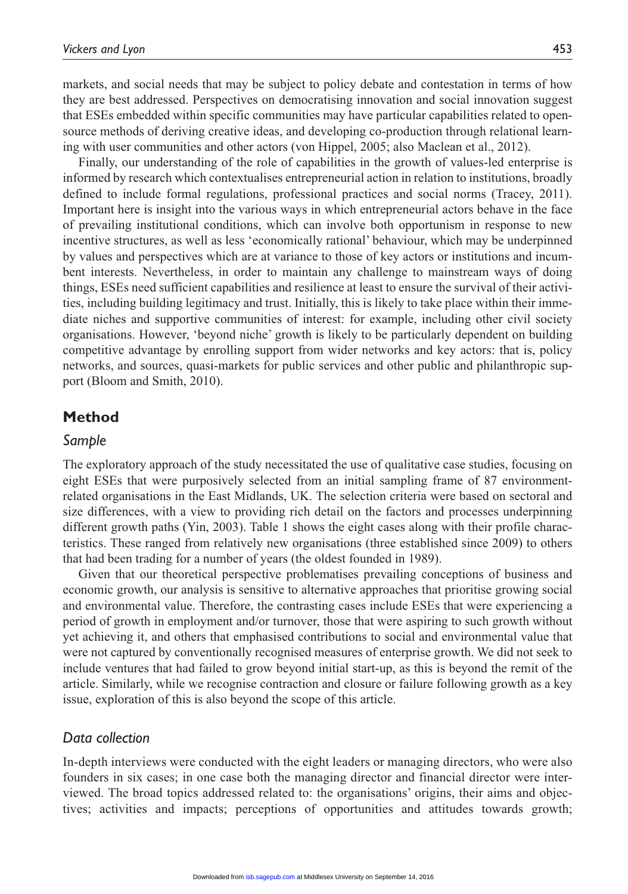markets, and social needs that may be subject to policy debate and contestation in terms of how they are best addressed. Perspectives on democratising innovation and social innovation suggest that ESEs embedded within specific communities may have particular capabilities related to opensource methods of deriving creative ideas, and developing co-production through relational learning with user communities and other actors (von Hippel, 2005; also Maclean et al., 2012).

Finally, our understanding of the role of capabilities in the growth of values-led enterprise is informed by research which contextualises entrepreneurial action in relation to institutions, broadly defined to include formal regulations, professional practices and social norms (Tracey, 2011). Important here is insight into the various ways in which entrepreneurial actors behave in the face of prevailing institutional conditions, which can involve both opportunism in response to new incentive structures, as well as less 'economically rational' behaviour, which may be underpinned by values and perspectives which are at variance to those of key actors or institutions and incumbent interests. Nevertheless, in order to maintain any challenge to mainstream ways of doing things, ESEs need sufficient capabilities and resilience at least to ensure the survival of their activities, including building legitimacy and trust. Initially, this is likely to take place within their immediate niches and supportive communities of interest: for example, including other civil society organisations. However, 'beyond niche' growth is likely to be particularly dependent on building competitive advantage by enrolling support from wider networks and key actors: that is, policy networks, and sources, quasi-markets for public services and other public and philanthropic support (Bloom and Smith, 2010).

# **Method**

#### *Sample*

The exploratory approach of the study necessitated the use of qualitative case studies, focusing on eight ESEs that were purposively selected from an initial sampling frame of 87 environmentrelated organisations in the East Midlands, UK. The selection criteria were based on sectoral and size differences, with a view to providing rich detail on the factors and processes underpinning different growth paths (Yin, 2003). Table 1 shows the eight cases along with their profile characteristics. These ranged from relatively new organisations (three established since 2009) to others that had been trading for a number of years (the oldest founded in 1989).

Given that our theoretical perspective problematises prevailing conceptions of business and economic growth, our analysis is sensitive to alternative approaches that prioritise growing social and environmental value. Therefore, the contrasting cases include ESEs that were experiencing a period of growth in employment and/or turnover, those that were aspiring to such growth without yet achieving it, and others that emphasised contributions to social and environmental value that were not captured by conventionally recognised measures of enterprise growth. We did not seek to include ventures that had failed to grow beyond initial start-up, as this is beyond the remit of the article. Similarly, while we recognise contraction and closure or failure following growth as a key issue, exploration of this is also beyond the scope of this article.

#### *Data collection*

In-depth interviews were conducted with the eight leaders or managing directors, who were also founders in six cases; in one case both the managing director and financial director were interviewed. The broad topics addressed related to: the organisations' origins, their aims and objectives; activities and impacts; perceptions of opportunities and attitudes towards growth;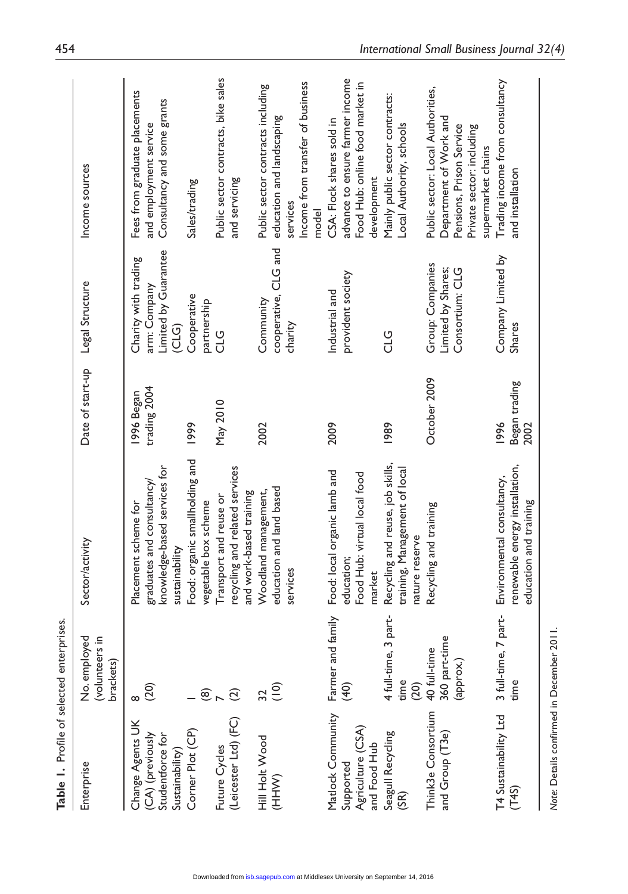| Table 1. Profile of selected enterprises                                    |                                             |                                                                                                      |                               |                                                                       |                                                                                                                                            |
|-----------------------------------------------------------------------------|---------------------------------------------|------------------------------------------------------------------------------------------------------|-------------------------------|-----------------------------------------------------------------------|--------------------------------------------------------------------------------------------------------------------------------------------|
| Enterprise                                                                  | No. employed<br>(volunteers in<br>brackets) | Sector/activity                                                                                      | Date of start-up              | Legal Structure                                                       | Income sources                                                                                                                             |
| Change Agents UK<br>(CA) (previously<br>Studentforce for<br>Sustainability) | $\overline{c}$<br>$\infty$                  | knowledge-based services for<br>graduates and consultancy/<br>Placement scheme for<br>sustainability | trading 2004<br>1996 Began    | Limited by Guarantee<br>Charity with trading<br>arm: Company<br>(CLG) | Fees from graduate placements<br>Consultancy and some grants<br>and employment service                                                     |
| Corner Plot (CP)                                                            |                                             | Food: organic smallholding and<br>vegetable box scheme                                               | 1999                          | Cooperative<br>partnership                                            | Sales/trading                                                                                                                              |
| (Leicester Ltd) (FC)<br>Future Cycles                                       | $\circledcirc$ $\sim$<br>$\widetilde{c}$    | recycling and related services<br>and work-based training<br>Transport and reuse or                  | May 2010                      | CLG                                                                   | Public sector contracts, bike sales<br>and servicing                                                                                       |
| Hill Holt Wood<br>(HHV)                                                     | $\overline{10}$<br>32                       | education and land based<br>Woodland management,<br>services                                         | 2002                          | cooperative, CLG and<br>Community<br>charity                          | Income from transfer of business<br>Public sector contracts including<br>education and landscaping<br>services<br>model                    |
| Matlock Community<br>Agriculture (CSA)<br>and Food Hub<br>Supported         | Farmer and family<br>$\widehat{\Theta}$     | Food: local organic lamb and<br>Food Hub: virtual local food<br>education;<br>market                 | 2009                          | provident society<br>Industrial and                                   | advance to ensure farmer income<br>Food Hub: online food market in<br>CSA: Flock shares sold in<br>development                             |
| Seagull Recycling<br>(SR)                                                   | e, 3 part-<br>4 full-tim<br>time<br>(20)    | Recycling and reuse, job skills,<br>training, Management of local<br>nature reserve                  | 1989                          | <b>CLG</b>                                                            | Mainly public sector contracts:<br>Local Authority, schools                                                                                |
| Think3e Consortium<br>and Group (T3e)                                       | 360 part-time<br>40 full-time<br>(approx.)  | Recycling and training                                                                               | October 2009                  | Group: Companies<br>Limited by Shares;<br>Consortium: CLG             | Public sector: Local Authorities,<br>Department of Work and<br>Pensions, Prison Service<br>Private sector: including<br>supermarket chains |
| T4 Sustainability Ltd<br>(T4S)                                              | 3 full-time, 7 part-<br>time                | renewable energy installation,<br>Environmental consultancy,<br>education and training               | Began trading<br>1996<br>2002 | Company Limited by<br>Shares                                          | Trading income from consultancy<br>and installation                                                                                        |
| Note: Details confirmed in December 2011.                                   |                                             |                                                                                                      |                               |                                                                       |                                                                                                                                            |

Table 1. Profile of selected enterprises.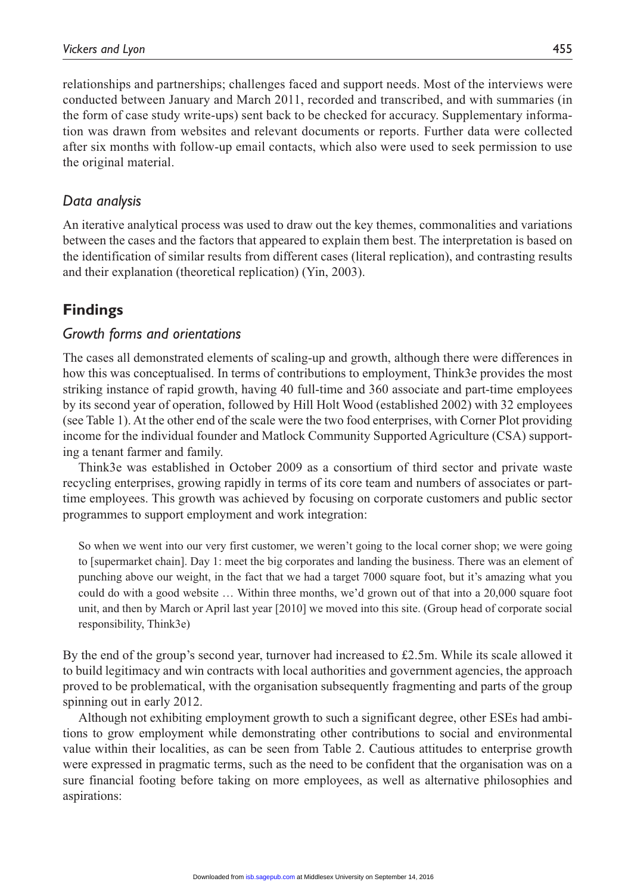relationships and partnerships; challenges faced and support needs. Most of the interviews were conducted between January and March 2011, recorded and transcribed, and with summaries (in the form of case study write-ups) sent back to be checked for accuracy. Supplementary information was drawn from websites and relevant documents or reports. Further data were collected after six months with follow-up email contacts, which also were used to seek permission to use the original material.

# *Data analysis*

An iterative analytical process was used to draw out the key themes, commonalities and variations between the cases and the factors that appeared to explain them best. The interpretation is based on the identification of similar results from different cases (literal replication), and contrasting results and their explanation (theoretical replication) (Yin, 2003).

# **Findings**

# *Growth forms and orientations*

The cases all demonstrated elements of scaling-up and growth, although there were differences in how this was conceptualised. In terms of contributions to employment, Think3e provides the most striking instance of rapid growth, having 40 full-time and 360 associate and part-time employees by its second year of operation, followed by Hill Holt Wood (established 2002) with 32 employees (see Table 1). At the other end of the scale were the two food enterprises, with Corner Plot providing income for the individual founder and Matlock Community Supported Agriculture (CSA) supporting a tenant farmer and family.

Think3e was established in October 2009 as a consortium of third sector and private waste recycling enterprises, growing rapidly in terms of its core team and numbers of associates or parttime employees. This growth was achieved by focusing on corporate customers and public sector programmes to support employment and work integration:

So when we went into our very first customer, we weren't going to the local corner shop; we were going to [supermarket chain]. Day 1: meet the big corporates and landing the business. There was an element of punching above our weight, in the fact that we had a target 7000 square foot, but it's amazing what you could do with a good website … Within three months, we'd grown out of that into a 20,000 square foot unit, and then by March or April last year [2010] we moved into this site. (Group head of corporate social responsibility, Think3e)

By the end of the group's second year, turnover had increased to £2.5m. While its scale allowed it to build legitimacy and win contracts with local authorities and government agencies, the approach proved to be problematical, with the organisation subsequently fragmenting and parts of the group spinning out in early 2012.

Although not exhibiting employment growth to such a significant degree, other ESEs had ambitions to grow employment while demonstrating other contributions to social and environmental value within their localities, as can be seen from Table 2. Cautious attitudes to enterprise growth were expressed in pragmatic terms, such as the need to be confident that the organisation was on a sure financial footing before taking on more employees, as well as alternative philosophies and aspirations: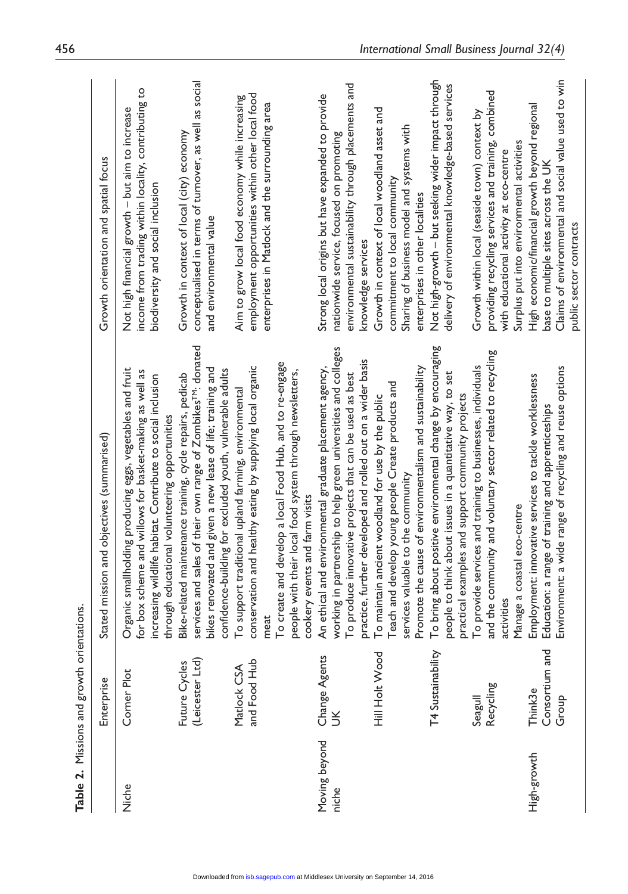|                        | Table 2. Missions and growth orientations. |                                                                                                                                                                                                                                                                                       |                                                                                                                                                                                              |
|------------------------|--------------------------------------------|---------------------------------------------------------------------------------------------------------------------------------------------------------------------------------------------------------------------------------------------------------------------------------------|----------------------------------------------------------------------------------------------------------------------------------------------------------------------------------------------|
|                        | Enterprise                                 | Stated mission and objectives (summarised)                                                                                                                                                                                                                                            | Growth orientation and spatial focus                                                                                                                                                         |
| Niche                  | Corner Plot                                | Organic smallholding producing eggs, vegetables and fruit<br>for box scheme and willows for basket-making as well as<br>increasing wildlife habitat. Contribute to social inclusion<br>through educational volunteering opportunities                                                 | income from trading within locality, contributing to<br>Not high financial growth - but aim to increase<br>biodiversity and social inclusion                                                 |
|                        | Future Cycles<br>(Leicester Ltd)           | services and sales of their own range of Zombikes <sup>TM</sup> : donated<br>bikes renovated and given a new lease of life; training and<br>confidence-building for excluded youth, vulnerable adults<br>Bike-related maintenance training, cycle repairs, pedicab                    | conceptualised in terms of turnover, as well as social<br>Growth in context of local (city) economy<br>and environmental value                                                               |
|                        | and Food Hub<br>Matlock CSA                | To create and develop a local Food Hub, and to re-engage<br>conservation and healthy eating by supplying local organic<br>people with their local food system through newsletters,<br>To support traditional upland farming, environmental<br>meat                                    | employment opportunities within other local food<br>Aim to grow local food economy while increasing<br>enterprises in Matlock and the surrounding area                                       |
| Moving beyond<br>niche | Change Agents<br>$\leq$                    | working in partnership to help green universities and colleges<br>practice, further developed and rolled out on a wider basis<br>An ethical and environmental graduate placement agency,<br>To produce innovative projects that can be used as best<br>cookery events and farm visits | environmental sustainability through placements and<br>Strong local origins but have expanded to provide<br>nationwide service, focused on promoting<br>knowledge services                   |
|                        | Hill Holt Wood                             | Promote the cause of environmentalism and sustainability<br>Teach and develop young people Create products and<br>To maintain ancient woodland for use by the public<br>services valuable to the community                                                                            | Growth in context of local woodland asset and<br>Sharing of business model and systems with<br>commitment to local community<br>enterprises in other localities                              |
|                        | T4 Sustainability                          | To bring about positive environmental change by encouraging<br>people to think about issues in a quantitative way, to set<br>practical examples and support community projects                                                                                                        | Not high-growth - but seeking wider impact through<br>delivery of environmental knowledge-based services                                                                                     |
|                        | Recycling<br>Seagull                       | and the community and voluntary sector related to recycling<br>To provide services and training to businesses, individuals<br>Manage a coastal eco-centre<br>activities                                                                                                               | providing recycling services and training, combined<br>Growth within local (seaside town) context by<br>Surplus put into environmental activities<br>with educational activity at eco-centre |
| High-growth            | Consortium and<br><b>Think3e</b><br>Group  | Environment: a wide range of recycling and reuse options<br>Employment: innovative services to tackle worklessness<br>Education: a range of training and apprenticeships                                                                                                              | Claims of environmental and social value used to win<br>High economic/financial growth beyond regional<br>base to multiple sites across the UK<br>public sector contracts                    |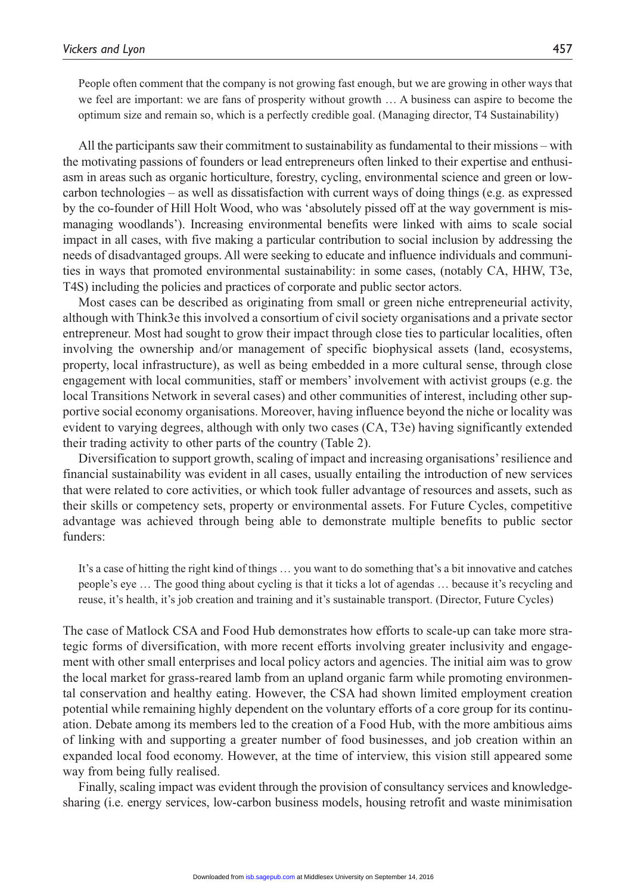People often comment that the company is not growing fast enough, but we are growing in other ways that we feel are important: we are fans of prosperity without growth … A business can aspire to become the optimum size and remain so, which is a perfectly credible goal. (Managing director, T4 Sustainability)

All the participants saw their commitment to sustainability as fundamental to their missions – with the motivating passions of founders or lead entrepreneurs often linked to their expertise and enthusiasm in areas such as organic horticulture, forestry, cycling, environmental science and green or lowcarbon technologies – as well as dissatisfaction with current ways of doing things (e.g. as expressed by the co-founder of Hill Holt Wood, who was 'absolutely pissed off at the way government is mismanaging woodlands'). Increasing environmental benefits were linked with aims to scale social impact in all cases, with five making a particular contribution to social inclusion by addressing the needs of disadvantaged groups. All were seeking to educate and influence individuals and communities in ways that promoted environmental sustainability: in some cases, (notably CA, HHW, T3e, T4S) including the policies and practices of corporate and public sector actors.

Most cases can be described as originating from small or green niche entrepreneurial activity, although with Think3e this involved a consortium of civil society organisations and a private sector entrepreneur. Most had sought to grow their impact through close ties to particular localities, often involving the ownership and/or management of specific biophysical assets (land, ecosystems, property, local infrastructure), as well as being embedded in a more cultural sense, through close engagement with local communities, staff or members' involvement with activist groups (e.g. the local Transitions Network in several cases) and other communities of interest, including other supportive social economy organisations. Moreover, having influence beyond the niche or locality was evident to varying degrees, although with only two cases (CA, T3e) having significantly extended their trading activity to other parts of the country (Table 2).

Diversification to support growth, scaling of impact and increasing organisations' resilience and financial sustainability was evident in all cases, usually entailing the introduction of new services that were related to core activities, or which took fuller advantage of resources and assets, such as their skills or competency sets, property or environmental assets. For Future Cycles, competitive advantage was achieved through being able to demonstrate multiple benefits to public sector funders:

It's a case of hitting the right kind of things … you want to do something that's a bit innovative and catches people's eye … The good thing about cycling is that it ticks a lot of agendas … because it's recycling and reuse, it's health, it's job creation and training and it's sustainable transport. (Director, Future Cycles)

The case of Matlock CSA and Food Hub demonstrates how efforts to scale-up can take more strategic forms of diversification, with more recent efforts involving greater inclusivity and engagement with other small enterprises and local policy actors and agencies. The initial aim was to grow the local market for grass-reared lamb from an upland organic farm while promoting environmental conservation and healthy eating. However, the CSA had shown limited employment creation potential while remaining highly dependent on the voluntary efforts of a core group for its continuation. Debate among its members led to the creation of a Food Hub, with the more ambitious aims of linking with and supporting a greater number of food businesses, and job creation within an expanded local food economy. However, at the time of interview, this vision still appeared some way from being fully realised.

Finally, scaling impact was evident through the provision of consultancy services and knowledgesharing (i.e. energy services, low-carbon business models, housing retrofit and waste minimisation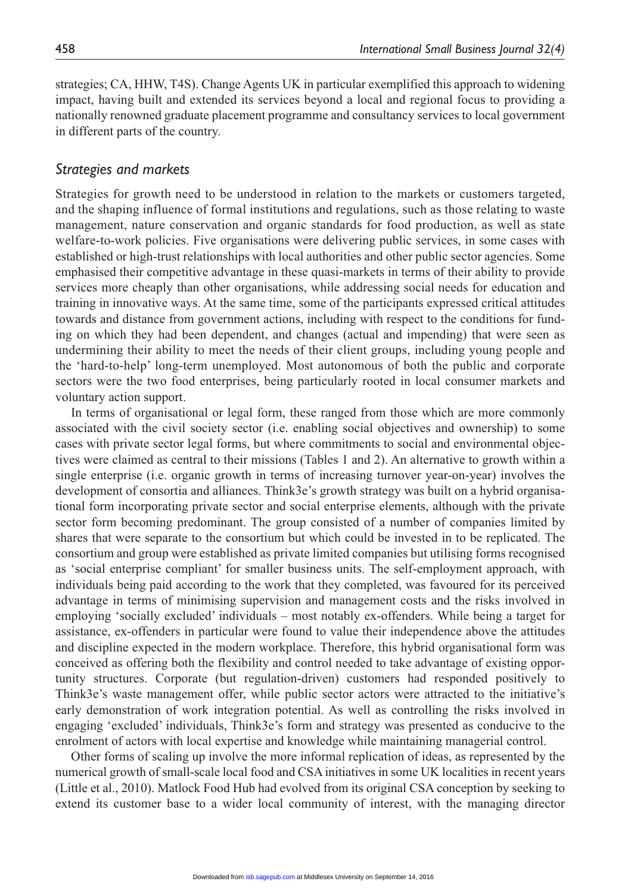strategies; CA, HHW, T4S). Change Agents UK in particular exemplified this approach to widening impact, having built and extended its services beyond a local and regional focus to providing a nationally renowned graduate placement programme and consultancy services to local government in different parts of the country.

### *Strategies and markets*

Strategies for growth need to be understood in relation to the markets or customers targeted, and the shaping influence of formal institutions and regulations, such as those relating to waste management, nature conservation and organic standards for food production, as well as state welfare-to-work policies. Five organisations were delivering public services, in some cases with established or high-trust relationships with local authorities and other public sector agencies. Some emphasised their competitive advantage in these quasi-markets in terms of their ability to provide services more cheaply than other organisations, while addressing social needs for education and training in innovative ways. At the same time, some of the participants expressed critical attitudes towards and distance from government actions, including with respect to the conditions for funding on which they had been dependent, and changes (actual and impending) that were seen as undermining their ability to meet the needs of their client groups, including young people and the 'hard-to-help' long-term unemployed. Most autonomous of both the public and corporate sectors were the two food enterprises, being particularly rooted in local consumer markets and voluntary action support.

In terms of organisational or legal form, these ranged from those which are more commonly associated with the civil society sector (i.e. enabling social objectives and ownership) to some cases with private sector legal forms, but where commitments to social and environmental objectives were claimed as central to their missions (Tables 1 and 2). An alternative to growth within a single enterprise (i.e. organic growth in terms of increasing turnover year-on-year) involves the development of consortia and alliances. Think3e's growth strategy was built on a hybrid organisational form incorporating private sector and social enterprise elements, although with the private sector form becoming predominant. The group consisted of a number of companies limited by shares that were separate to the consortium but which could be invested in to be replicated. The consortium and group were established as private limited companies but utilising forms recognised as 'social enterprise compliant' for smaller business units. The self-employment approach, with individuals being paid according to the work that they completed, was favoured for its perceived advantage in terms of minimising supervision and management costs and the risks involved in employing 'socially excluded' individuals – most notably ex-offenders. While being a target for assistance, ex-offenders in particular were found to value their independence above the attitudes and discipline expected in the modern workplace. Therefore, this hybrid organisational form was conceived as offering both the flexibility and control needed to take advantage of existing opportunity structures. Corporate (but regulation-driven) customers had responded positively to Think3e's waste management offer, while public sector actors were attracted to the initiative's early demonstration of work integration potential. As well as controlling the risks involved in engaging 'excluded' individuals, Think3e's form and strategy was presented as conducive to the enrolment of actors with local expertise and knowledge while maintaining managerial control.

Other forms of scaling up involve the more informal replication of ideas, as represented by the numerical growth of small-scale local food and CSA initiatives in some UK localities in recent years (Little et al., 2010). Matlock Food Hub had evolved from its original CSA conception by seeking to extend its customer base to a wider local community of interest, with the managing director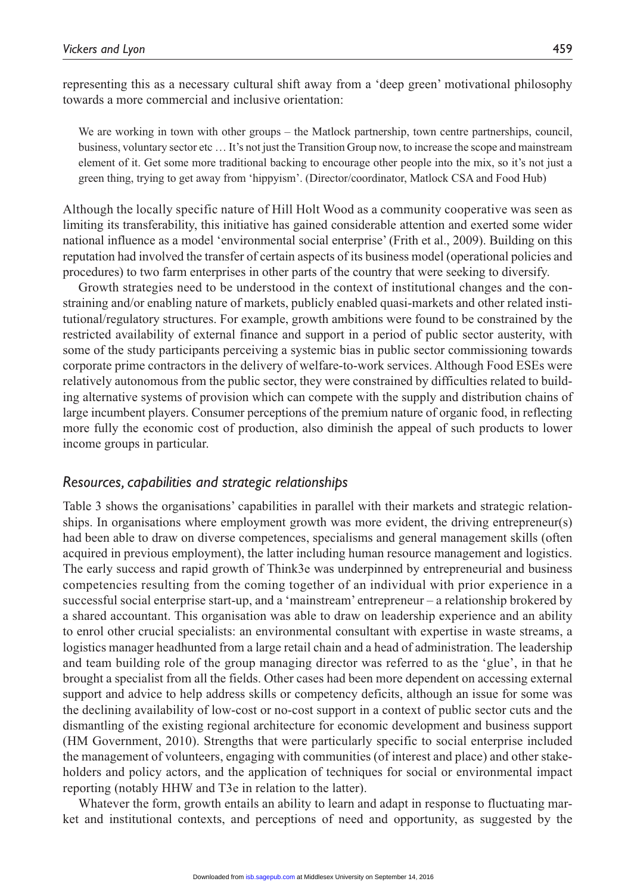representing this as a necessary cultural shift away from a 'deep green' motivational philosophy towards a more commercial and inclusive orientation:

We are working in town with other groups – the Matlock partnership, town centre partnerships, council, business, voluntary sector etc … It's not just the Transition Group now, to increase the scope and mainstream element of it. Get some more traditional backing to encourage other people into the mix, so it's not just a green thing, trying to get away from 'hippyism'. (Director/coordinator, Matlock CSA and Food Hub)

Although the locally specific nature of Hill Holt Wood as a community cooperative was seen as limiting its transferability, this initiative has gained considerable attention and exerted some wider national influence as a model 'environmental social enterprise' (Frith et al., 2009). Building on this reputation had involved the transfer of certain aspects of its business model (operational policies and procedures) to two farm enterprises in other parts of the country that were seeking to diversify.

Growth strategies need to be understood in the context of institutional changes and the constraining and/or enabling nature of markets, publicly enabled quasi-markets and other related institutional/regulatory structures. For example, growth ambitions were found to be constrained by the restricted availability of external finance and support in a period of public sector austerity, with some of the study participants perceiving a systemic bias in public sector commissioning towards corporate prime contractors in the delivery of welfare-to-work services. Although Food ESEs were relatively autonomous from the public sector, they were constrained by difficulties related to building alternative systems of provision which can compete with the supply and distribution chains of large incumbent players. Consumer perceptions of the premium nature of organic food, in reflecting more fully the economic cost of production, also diminish the appeal of such products to lower income groups in particular.

#### *Resources, capabilities and strategic relationships*

Table 3 shows the organisations' capabilities in parallel with their markets and strategic relationships. In organisations where employment growth was more evident, the driving entrepreneur(s) had been able to draw on diverse competences, specialisms and general management skills (often acquired in previous employment), the latter including human resource management and logistics. The early success and rapid growth of Think3e was underpinned by entrepreneurial and business competencies resulting from the coming together of an individual with prior experience in a successful social enterprise start-up, and a 'mainstream' entrepreneur – a relationship brokered by a shared accountant. This organisation was able to draw on leadership experience and an ability to enrol other crucial specialists: an environmental consultant with expertise in waste streams, a logistics manager headhunted from a large retail chain and a head of administration. The leadership and team building role of the group managing director was referred to as the 'glue', in that he brought a specialist from all the fields. Other cases had been more dependent on accessing external support and advice to help address skills or competency deficits, although an issue for some was the declining availability of low-cost or no-cost support in a context of public sector cuts and the dismantling of the existing regional architecture for economic development and business support (HM Government, 2010). Strengths that were particularly specific to social enterprise included the management of volunteers, engaging with communities (of interest and place) and other stakeholders and policy actors, and the application of techniques for social or environmental impact reporting (notably HHW and T3e in relation to the latter).

Whatever the form, growth entails an ability to learn and adapt in response to fluctuating market and institutional contexts, and perceptions of need and opportunity, as suggested by the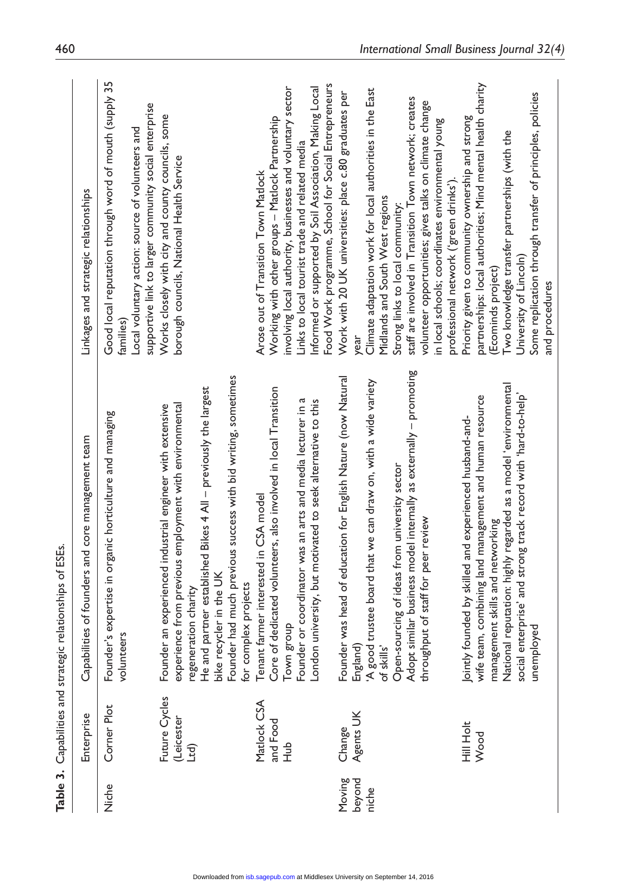|                           |                                     | Table 3. Capabilities and strategic relationships of ESEs.                                                                                                                                                                                                                                                                         |                                                                                                                                                                                                                                                                                                                                                                                                                       |
|---------------------------|-------------------------------------|------------------------------------------------------------------------------------------------------------------------------------------------------------------------------------------------------------------------------------------------------------------------------------------------------------------------------------|-----------------------------------------------------------------------------------------------------------------------------------------------------------------------------------------------------------------------------------------------------------------------------------------------------------------------------------------------------------------------------------------------------------------------|
|                           | Enterprise                          | Capabilities of founders and core management team                                                                                                                                                                                                                                                                                  | Linkages and strategic relationships                                                                                                                                                                                                                                                                                                                                                                                  |
| Niche                     | Corner Plot                         | Founder's expertise in organic horticulture and managing<br>volunteers                                                                                                                                                                                                                                                             | Good local reputation through word of mouth (supply 35<br>supportive link to larger community social enterprise<br>Local voluntary action: source of volunteers and<br>families)                                                                                                                                                                                                                                      |
|                           | Future Cycles<br>(Leicester<br>[td  | Founder had much previous success with bid writing, sometimes<br>regeneration charity<br>He and partner established Bikes 4 All – previously the largest<br>Founder an experienced industrial engineer with extensive<br>experience from previous employment with environmental<br>bike recycler in the UK<br>for complex projects | Works closely with city and county councils, some<br>borough councils, National Health Service                                                                                                                                                                                                                                                                                                                        |
|                           | Matlock CSA<br>and Food<br>du<br>Hu | Core of dedicated volunteers, also involved in local Transition<br>Founder or coordinator was an arts and media lecturer in a<br>London university, but motivated to seek alternative to this<br>Tenant farmer interested in CSA model<br>Town group                                                                               | Food Work programme, School for Social Entrepreneurs<br>involving local authority, businesses and voluntary sector<br>Informed or supported by Soil Association, Making Local<br>Working with other groups - Matlock Partnership<br>Links to local tourist trade and related media<br>Arose out of Transition Town Matlock                                                                                            |
| beyond<br>Moving<br>niche | Agents UK<br>Change                 | Adopt similar business model internally as externally - promoting<br>Founder was head of education for English Nature (now Natural<br>England)<br>'A good trustee board that we can draw on, with a wide variety<br>of skills'<br>Open-sourcing of ideas from university sector<br>throughput of staff for peer review             | Climate adaptation work for local authorities in the East<br>Work with 20 UK universities: place c.80 graduates per<br>staff are involved in Transition Town network; creates<br>volunteer opportunities; gives talks on climate change<br>in local schools; coordinates environmental young<br>professional network ('green drinks').<br>Midlands and South West regions<br>Strong links to local community:<br>year |
|                           | Hill Hot<br>Wood                    | National reputation: highly regarded as a model 'environmental<br>social enterprise' and strong track record with 'hard-to-help'<br>wife team, combining land management and human resource<br>Jointly founded by skilled and experienced husband-and-<br>agement skills and networking<br>unemployed<br>mana                      | partnerships: local authorities; Mind mental health charity<br>Some replication through transfer of principles, policies<br>Priority given to community ownership and strong<br>Two knowledge transfer partnerships (with the<br>University of Lincoln)<br>(Ecominds project)<br>and procedures                                                                                                                       |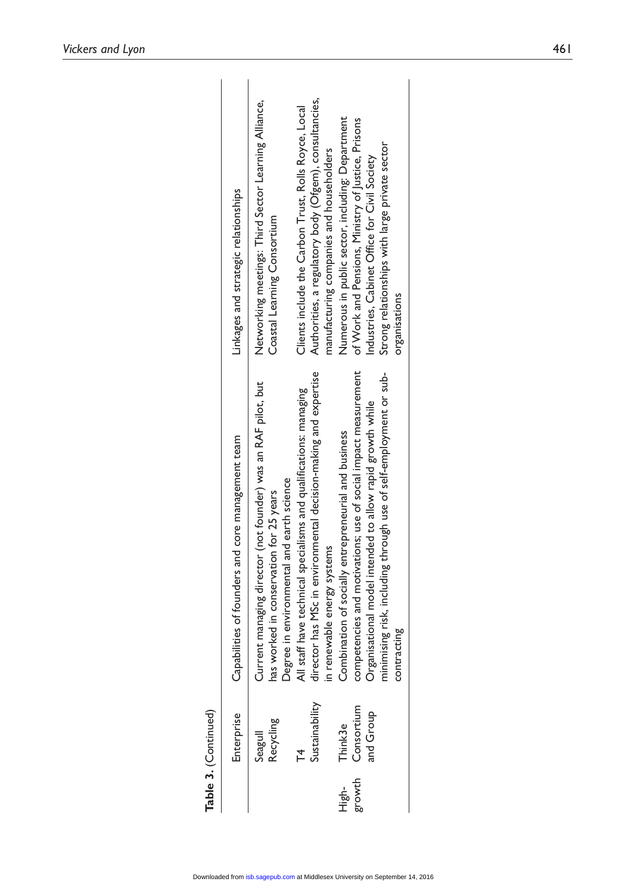|                         | Table 3. (Continued)               |                                                                                                                                                                                                                                            |                                                                                                                                                                                                                           |
|-------------------------|------------------------------------|--------------------------------------------------------------------------------------------------------------------------------------------------------------------------------------------------------------------------------------------|---------------------------------------------------------------------------------------------------------------------------------------------------------------------------------------------------------------------------|
|                         | Enterprise                         | Capabilities of founders and core management team                                                                                                                                                                                          | Linkages and strategic relationships                                                                                                                                                                                      |
|                         | Recycling<br>Seagull               | Current managing director (not founder) was an RAF pilot, but<br>has worked in conservation for 25 years                                                                                                                                   | Networking meetings: Third Sector Learning Alliance,<br>Coastal Learning Consortium                                                                                                                                       |
|                         | ustainability                      | Degree in environmental and earth science<br>All staff have technical specialisms and qualifications: managing<br>director has MSc in environmental decision-making and expertise<br>in renewable energy systems<br>Combination of sociall | Authorities, a regulatory body (Ofgem), consultancies,<br>Clients include the Carbon Trust, Rolls Royce, Local<br>manufacturing companies and householders                                                                |
| $4$ rowth<br>나이다.<br>그녀 | Consortium<br>and Group<br>Think3e | competencies and motivations; use of social impact measurement<br>Organisational model intended to allow rapid growth while<br>minimising risk, including through use of self-employment or sub-<br>contracting                            | Numerous in public sector, including: Department<br>of Work and Pensions, Ministry of Justice, Prisons<br>Strong relationships with large private sector<br>Industries, Cabinet Office for Civil Society<br>organisations |
|                         |                                    |                                                                                                                                                                                                                                            |                                                                                                                                                                                                                           |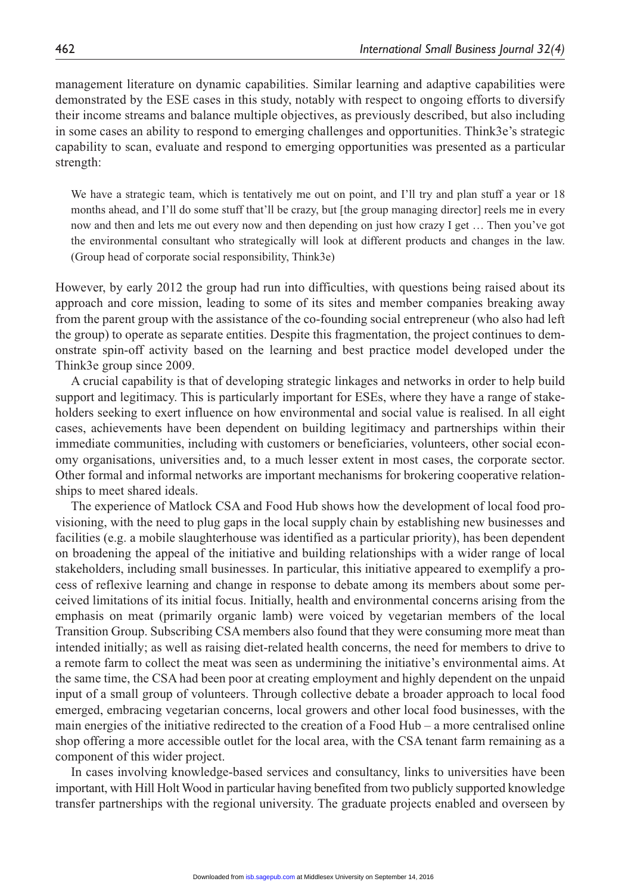management literature on dynamic capabilities. Similar learning and adaptive capabilities were demonstrated by the ESE cases in this study, notably with respect to ongoing efforts to diversify their income streams and balance multiple objectives, as previously described, but also including in some cases an ability to respond to emerging challenges and opportunities. Think3e's strategic capability to scan, evaluate and respond to emerging opportunities was presented as a particular strength:

We have a strategic team, which is tentatively me out on point, and I'll try and plan stuff a year or 18 months ahead, and I'll do some stuff that'll be crazy, but [the group managing director] reels me in every now and then and lets me out every now and then depending on just how crazy I get … Then you've got the environmental consultant who strategically will look at different products and changes in the law. (Group head of corporate social responsibility, Think3e)

However, by early 2012 the group had run into difficulties, with questions being raised about its approach and core mission, leading to some of its sites and member companies breaking away from the parent group with the assistance of the co-founding social entrepreneur (who also had left the group) to operate as separate entities. Despite this fragmentation, the project continues to demonstrate spin-off activity based on the learning and best practice model developed under the Think3e group since 2009.

A crucial capability is that of developing strategic linkages and networks in order to help build support and legitimacy. This is particularly important for ESEs, where they have a range of stakeholders seeking to exert influence on how environmental and social value is realised. In all eight cases, achievements have been dependent on building legitimacy and partnerships within their immediate communities, including with customers or beneficiaries, volunteers, other social economy organisations, universities and, to a much lesser extent in most cases, the corporate sector. Other formal and informal networks are important mechanisms for brokering cooperative relationships to meet shared ideals.

The experience of Matlock CSA and Food Hub shows how the development of local food provisioning, with the need to plug gaps in the local supply chain by establishing new businesses and facilities (e.g. a mobile slaughterhouse was identified as a particular priority), has been dependent on broadening the appeal of the initiative and building relationships with a wider range of local stakeholders, including small businesses. In particular, this initiative appeared to exemplify a process of reflexive learning and change in response to debate among its members about some perceived limitations of its initial focus. Initially, health and environmental concerns arising from the emphasis on meat (primarily organic lamb) were voiced by vegetarian members of the local Transition Group. Subscribing CSA members also found that they were consuming more meat than intended initially; as well as raising diet-related health concerns, the need for members to drive to a remote farm to collect the meat was seen as undermining the initiative's environmental aims. At the same time, the CSA had been poor at creating employment and highly dependent on the unpaid input of a small group of volunteers. Through collective debate a broader approach to local food emerged, embracing vegetarian concerns, local growers and other local food businesses, with the main energies of the initiative redirected to the creation of a Food Hub – a more centralised online shop offering a more accessible outlet for the local area, with the CSA tenant farm remaining as a component of this wider project.

In cases involving knowledge-based services and consultancy, links to universities have been important, with Hill Holt Wood in particular having benefited from two publicly supported knowledge transfer partnerships with the regional university. The graduate projects enabled and overseen by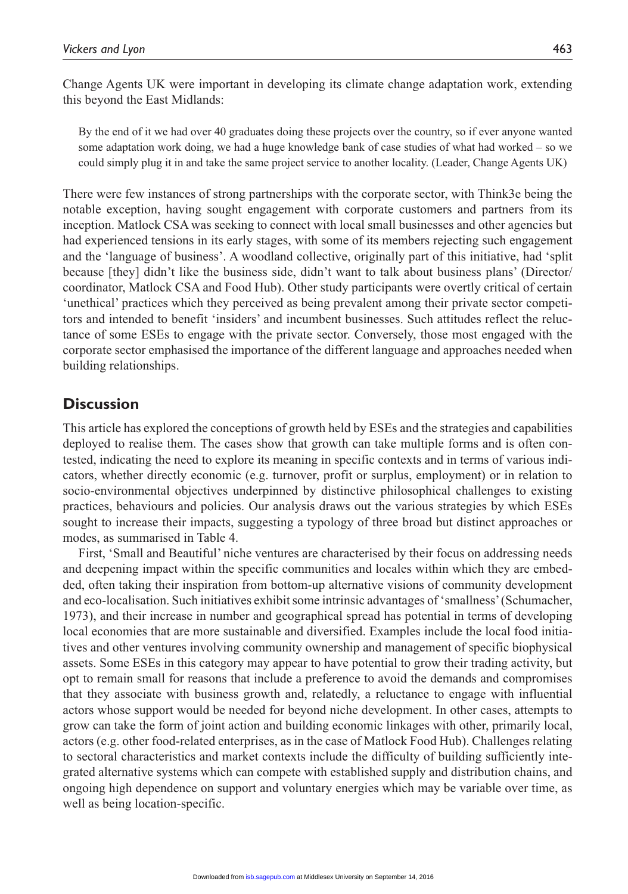Change Agents UK were important in developing its climate change adaptation work, extending this beyond the East Midlands:

By the end of it we had over 40 graduates doing these projects over the country, so if ever anyone wanted some adaptation work doing, we had a huge knowledge bank of case studies of what had worked – so we could simply plug it in and take the same project service to another locality. (Leader, Change Agents UK)

There were few instances of strong partnerships with the corporate sector, with Think3e being the notable exception, having sought engagement with corporate customers and partners from its inception. Matlock CSA was seeking to connect with local small businesses and other agencies but had experienced tensions in its early stages, with some of its members rejecting such engagement and the 'language of business'. A woodland collective, originally part of this initiative, had 'split because [they] didn't like the business side, didn't want to talk about business plans' (Director/ coordinator, Matlock CSA and Food Hub). Other study participants were overtly critical of certain 'unethical' practices which they perceived as being prevalent among their private sector competitors and intended to benefit 'insiders' and incumbent businesses. Such attitudes reflect the reluctance of some ESEs to engage with the private sector. Conversely, those most engaged with the corporate sector emphasised the importance of the different language and approaches needed when building relationships.

# **Discussion**

This article has explored the conceptions of growth held by ESEs and the strategies and capabilities deployed to realise them. The cases show that growth can take multiple forms and is often contested, indicating the need to explore its meaning in specific contexts and in terms of various indicators, whether directly economic (e.g. turnover, profit or surplus, employment) or in relation to socio-environmental objectives underpinned by distinctive philosophical challenges to existing practices, behaviours and policies. Our analysis draws out the various strategies by which ESEs sought to increase their impacts, suggesting a typology of three broad but distinct approaches or modes, as summarised in Table 4.

First, 'Small and Beautiful' niche ventures are characterised by their focus on addressing needs and deepening impact within the specific communities and locales within which they are embedded, often taking their inspiration from bottom-up alternative visions of community development and eco-localisation. Such initiatives exhibit some intrinsic advantages of 'smallness' (Schumacher, 1973), and their increase in number and geographical spread has potential in terms of developing local economies that are more sustainable and diversified. Examples include the local food initiatives and other ventures involving community ownership and management of specific biophysical assets. Some ESEs in this category may appear to have potential to grow their trading activity, but opt to remain small for reasons that include a preference to avoid the demands and compromises that they associate with business growth and, relatedly, a reluctance to engage with influential actors whose support would be needed for beyond niche development. In other cases, attempts to grow can take the form of joint action and building economic linkages with other, primarily local, actors (e.g. other food-related enterprises, as in the case of Matlock Food Hub). Challenges relating to sectoral characteristics and market contexts include the difficulty of building sufficiently integrated alternative systems which can compete with established supply and distribution chains, and ongoing high dependence on support and voluntary energies which may be variable over time, as well as being location-specific.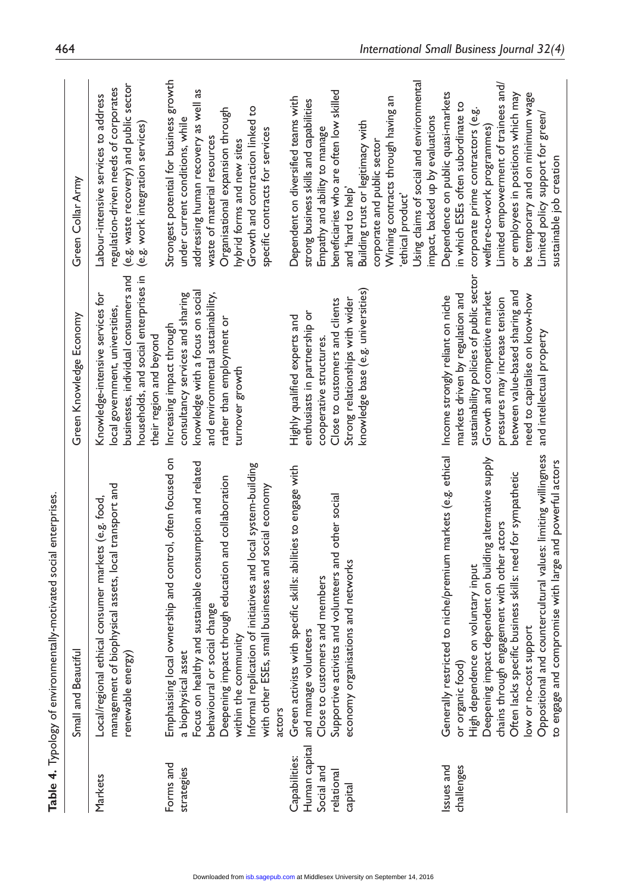|                                                                       | Small and Beautiful                                                                                                                                                                                                                                                                                                                                                                                                                                           | Green Knowledge Economy                                                                                                                                                                                                                                                               | Green Collar Army                                                                                                                                                                                                                                                                                                                                                                               |
|-----------------------------------------------------------------------|---------------------------------------------------------------------------------------------------------------------------------------------------------------------------------------------------------------------------------------------------------------------------------------------------------------------------------------------------------------------------------------------------------------------------------------------------------------|---------------------------------------------------------------------------------------------------------------------------------------------------------------------------------------------------------------------------------------------------------------------------------------|-------------------------------------------------------------------------------------------------------------------------------------------------------------------------------------------------------------------------------------------------------------------------------------------------------------------------------------------------------------------------------------------------|
| Markets                                                               | management of biophysical assets, local transport and<br>nical consumer markets (e.g. food,<br>renewable energy)<br>Local/regional et                                                                                                                                                                                                                                                                                                                         | households, and social enterprises in<br>businesses, individual consumers and<br>Knowledge-intensive services for<br>local government, universities,<br>their region and beyond                                                                                                       | (e.g. waste recovery) and public sector<br>regulation-driven needs of corporates<br>Labour-intensive services to address<br>(e.g. work integration services)                                                                                                                                                                                                                                    |
| Forms and<br>strategies                                               | Emphasising local ownership and control, often focused on<br>Focus on healthy and sustainable consumption and related<br>Informal replication of initiatives and local system-building<br>Deepening impact through education and collaboration<br>small businesses and social economy<br>behavioural or social change<br>within the community<br>a biophysical asset<br>with other ESEs,<br>actors                                                            | knowledge with a focus on social<br>and environmental sustainability,<br>consultancy services and sharing<br>rather than employment or<br>Increasing impact through<br>turnover growth                                                                                                | Strongest potential for business growth<br>addressing human recovery as well as<br>Growth and contraction linked to<br>Organisational expansion through<br>under current conditions, while<br>specific contracts for services<br>waste of material resources<br>hybrid forms and new sites                                                                                                      |
| Human capital<br>Capabilities:<br>Social and<br>relational<br>capital | Green activists with specific skills: abilities to engage with<br>Supportive activists and volunteers and other social<br>economy organisations and networks<br>Close to customers and members<br>and manage volunteers                                                                                                                                                                                                                                       | knowledge base (e.g. universities)<br>Strong relationships with wider<br>Close to customers and clients<br>enthusiasts in partnership or<br>Highly qualified experts and<br>cooperative structures.                                                                                   | Using claims of social and environmental<br>beneficiaries who are often low skilled<br>Winning contracts through having an<br>Dependent on diversified teams with<br>strong business skills and capabilities<br>impact, backed up by evaluations<br>Building trust or legitimacy with<br>Empathy and ability to manage<br>corporate and public sector<br>and 'hard to help'<br>ethical product' |
| Issues and<br>challenges                                              | ted to niche/premium markets (e.g. ethical<br>Oppositional and countercultural values: limiting willingness<br>Deepening impact dependent on building alternative supply<br>to engage and compromise with large and powerful actors<br>Often lacks specific business skills: need for sympathetic<br>chains through engagement with other actors<br>on voluntary input<br>low or no-cost support<br>Generally restrict<br>High dependence<br>or organic food) | sustainability policies of public sector<br>between value-based sharing and<br>Growth and competitive market<br>markets driven by regulation and<br>need to capitalise on know-how<br>Income strongly reliant on niche<br>pressures may increase tension<br>and intellectual property | Limited empowerment of trainees and/<br>Dependence on public quasi-markets<br>be temporary and on minimum wage<br>or employees in positions which may<br>in which ESEs often subordinate to<br>corporate prime contractors (e.g.<br>Limited policy support for green/<br>welfare-to-work programmes)<br>sustainable job creation                                                                |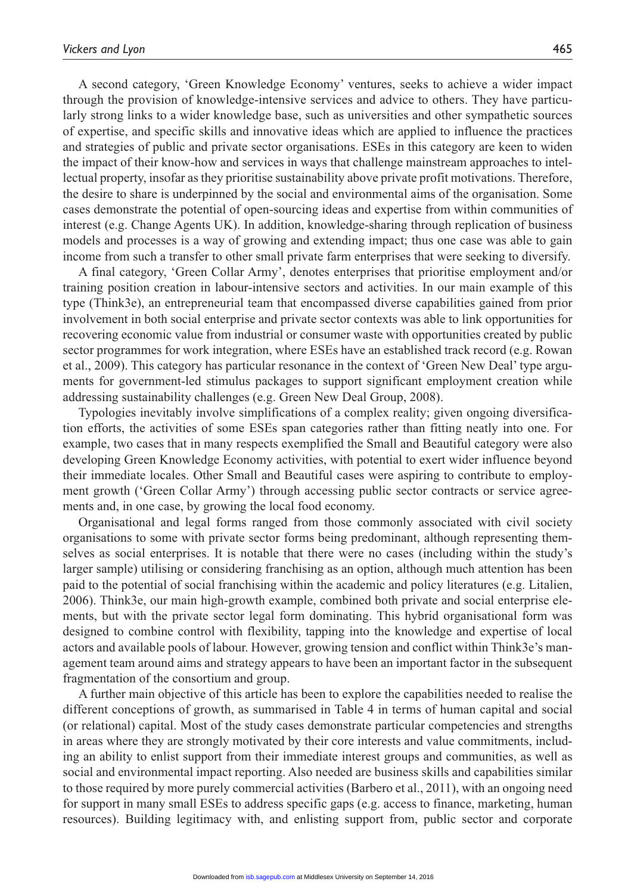A second category, 'Green Knowledge Economy' ventures, seeks to achieve a wider impact through the provision of knowledge-intensive services and advice to others. They have particularly strong links to a wider knowledge base, such as universities and other sympathetic sources of expertise, and specific skills and innovative ideas which are applied to influence the practices and strategies of public and private sector organisations. ESEs in this category are keen to widen the impact of their know-how and services in ways that challenge mainstream approaches to intellectual property, insofar as they prioritise sustainability above private profit motivations. Therefore, the desire to share is underpinned by the social and environmental aims of the organisation. Some cases demonstrate the potential of open-sourcing ideas and expertise from within communities of interest (e.g. Change Agents UK). In addition, knowledge-sharing through replication of business models and processes is a way of growing and extending impact; thus one case was able to gain income from such a transfer to other small private farm enterprises that were seeking to diversify.

A final category, 'Green Collar Army', denotes enterprises that prioritise employment and/or training position creation in labour-intensive sectors and activities. In our main example of this type (Think3e), an entrepreneurial team that encompassed diverse capabilities gained from prior involvement in both social enterprise and private sector contexts was able to link opportunities for recovering economic value from industrial or consumer waste with opportunities created by public sector programmes for work integration, where ESEs have an established track record (e.g. Rowan et al., 2009). This category has particular resonance in the context of 'Green New Deal' type arguments for government-led stimulus packages to support significant employment creation while addressing sustainability challenges (e.g. Green New Deal Group, 2008).

Typologies inevitably involve simplifications of a complex reality; given ongoing diversification efforts, the activities of some ESEs span categories rather than fitting neatly into one. For example, two cases that in many respects exemplified the Small and Beautiful category were also developing Green Knowledge Economy activities, with potential to exert wider influence beyond their immediate locales. Other Small and Beautiful cases were aspiring to contribute to employment growth ('Green Collar Army') through accessing public sector contracts or service agreements and, in one case, by growing the local food economy.

Organisational and legal forms ranged from those commonly associated with civil society organisations to some with private sector forms being predominant, although representing themselves as social enterprises. It is notable that there were no cases (including within the study's larger sample) utilising or considering franchising as an option, although much attention has been paid to the potential of social franchising within the academic and policy literatures (e.g. Litalien, 2006). Think3e, our main high-growth example, combined both private and social enterprise elements, but with the private sector legal form dominating. This hybrid organisational form was designed to combine control with flexibility, tapping into the knowledge and expertise of local actors and available pools of labour. However, growing tension and conflict within Think3e's management team around aims and strategy appears to have been an important factor in the subsequent fragmentation of the consortium and group.

A further main objective of this article has been to explore the capabilities needed to realise the different conceptions of growth, as summarised in Table 4 in terms of human capital and social (or relational) capital. Most of the study cases demonstrate particular competencies and strengths in areas where they are strongly motivated by their core interests and value commitments, including an ability to enlist support from their immediate interest groups and communities, as well as social and environmental impact reporting. Also needed are business skills and capabilities similar to those required by more purely commercial activities (Barbero et al., 2011), with an ongoing need for support in many small ESEs to address specific gaps (e.g. access to finance, marketing, human resources). Building legitimacy with, and enlisting support from, public sector and corporate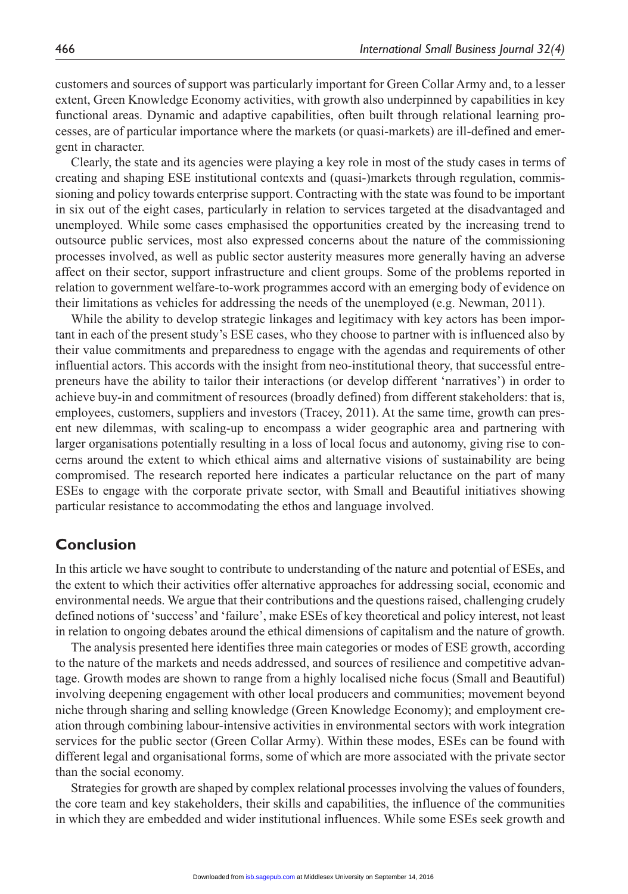customers and sources of support was particularly important for Green Collar Army and, to a lesser extent, Green Knowledge Economy activities, with growth also underpinned by capabilities in key functional areas. Dynamic and adaptive capabilities, often built through relational learning processes, are of particular importance where the markets (or quasi-markets) are ill-defined and emergent in character.

Clearly, the state and its agencies were playing a key role in most of the study cases in terms of creating and shaping ESE institutional contexts and (quasi-)markets through regulation, commissioning and policy towards enterprise support. Contracting with the state was found to be important in six out of the eight cases, particularly in relation to services targeted at the disadvantaged and unemployed. While some cases emphasised the opportunities created by the increasing trend to outsource public services, most also expressed concerns about the nature of the commissioning processes involved, as well as public sector austerity measures more generally having an adverse affect on their sector, support infrastructure and client groups. Some of the problems reported in relation to government welfare-to-work programmes accord with an emerging body of evidence on their limitations as vehicles for addressing the needs of the unemployed (e.g. Newman, 2011).

While the ability to develop strategic linkages and legitimacy with key actors has been important in each of the present study's ESE cases, who they choose to partner with is influenced also by their value commitments and preparedness to engage with the agendas and requirements of other influential actors. This accords with the insight from neo-institutional theory, that successful entrepreneurs have the ability to tailor their interactions (or develop different 'narratives') in order to achieve buy-in and commitment of resources (broadly defined) from different stakeholders: that is, employees, customers, suppliers and investors (Tracey, 2011). At the same time, growth can present new dilemmas, with scaling-up to encompass a wider geographic area and partnering with larger organisations potentially resulting in a loss of local focus and autonomy, giving rise to concerns around the extent to which ethical aims and alternative visions of sustainability are being compromised. The research reported here indicates a particular reluctance on the part of many ESEs to engage with the corporate private sector, with Small and Beautiful initiatives showing particular resistance to accommodating the ethos and language involved.

# **Conclusion**

In this article we have sought to contribute to understanding of the nature and potential of ESEs, and the extent to which their activities offer alternative approaches for addressing social, economic and environmental needs. We argue that their contributions and the questions raised, challenging crudely defined notions of 'success' and 'failure', make ESEs of key theoretical and policy interest, not least in relation to ongoing debates around the ethical dimensions of capitalism and the nature of growth.

The analysis presented here identifies three main categories or modes of ESE growth, according to the nature of the markets and needs addressed, and sources of resilience and competitive advantage. Growth modes are shown to range from a highly localised niche focus (Small and Beautiful) involving deepening engagement with other local producers and communities; movement beyond niche through sharing and selling knowledge (Green Knowledge Economy); and employment creation through combining labour-intensive activities in environmental sectors with work integration services for the public sector (Green Collar Army). Within these modes, ESEs can be found with different legal and organisational forms, some of which are more associated with the private sector than the social economy.

Strategies for growth are shaped by complex relational processes involving the values of founders, the core team and key stakeholders, their skills and capabilities, the influence of the communities in which they are embedded and wider institutional influences. While some ESEs seek growth and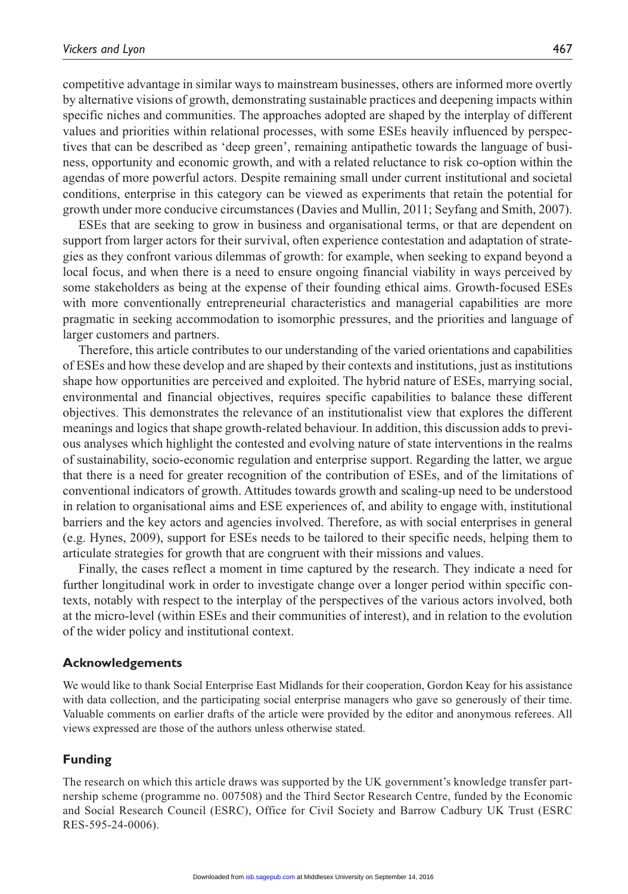competitive advantage in similar ways to mainstream businesses, others are informed more overtly by alternative visions of growth, demonstrating sustainable practices and deepening impacts within specific niches and communities. The approaches adopted are shaped by the interplay of different values and priorities within relational processes, with some ESEs heavily influenced by perspectives that can be described as 'deep green', remaining antipathetic towards the language of business, opportunity and economic growth, and with a related reluctance to risk co-option within the agendas of more powerful actors. Despite remaining small under current institutional and societal conditions, enterprise in this category can be viewed as experiments that retain the potential for growth under more conducive circumstances (Davies and Mullin, 2011; Seyfang and Smith, 2007).

ESEs that are seeking to grow in business and organisational terms, or that are dependent on support from larger actors for their survival, often experience contestation and adaptation of strategies as they confront various dilemmas of growth: for example, when seeking to expand beyond a local focus, and when there is a need to ensure ongoing financial viability in ways perceived by some stakeholders as being at the expense of their founding ethical aims. Growth-focused ESEs with more conventionally entrepreneurial characteristics and managerial capabilities are more pragmatic in seeking accommodation to isomorphic pressures, and the priorities and language of larger customers and partners.

Therefore, this article contributes to our understanding of the varied orientations and capabilities of ESEs and how these develop and are shaped by their contexts and institutions, just as institutions shape how opportunities are perceived and exploited. The hybrid nature of ESEs, marrying social, environmental and financial objectives, requires specific capabilities to balance these different objectives. This demonstrates the relevance of an institutionalist view that explores the different meanings and logics that shape growth-related behaviour. In addition, this discussion adds to previous analyses which highlight the contested and evolving nature of state interventions in the realms of sustainability, socio-economic regulation and enterprise support. Regarding the latter, we argue that there is a need for greater recognition of the contribution of ESEs, and of the limitations of conventional indicators of growth. Attitudes towards growth and scaling-up need to be understood in relation to organisational aims and ESE experiences of, and ability to engage with, institutional barriers and the key actors and agencies involved. Therefore, as with social enterprises in general (e.g. Hynes, 2009), support for ESEs needs to be tailored to their specific needs, helping them to articulate strategies for growth that are congruent with their missions and values.

Finally, the cases reflect a moment in time captured by the research. They indicate a need for further longitudinal work in order to investigate change over a longer period within specific contexts, notably with respect to the interplay of the perspectives of the various actors involved, both at the micro-level (within ESEs and their communities of interest), and in relation to the evolution of the wider policy and institutional context.

#### **Acknowledgements**

We would like to thank Social Enterprise East Midlands for their cooperation, Gordon Keay for his assistance with data collection, and the participating social enterprise managers who gave so generously of their time. Valuable comments on earlier drafts of the article were provided by the editor and anonymous referees. All views expressed are those of the authors unless otherwise stated.

#### **Funding**

The research on which this article draws was supported by the UK government's knowledge transfer partnership scheme (programme no. 007508) and the Third Sector Research Centre, funded by the Economic and Social Research Council (ESRC), Office for Civil Society and Barrow Cadbury UK Trust (ESRC RES-595-24-0006).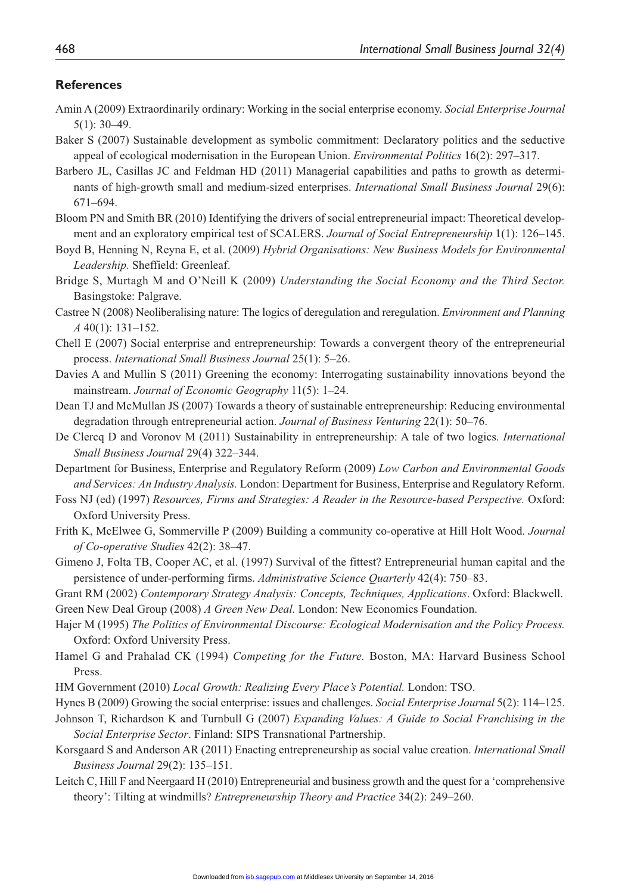#### **References**

- Amin A (2009) Extraordinarily ordinary: Working in the social enterprise economy. *Social Enterprise Journal* 5(1): 30–49.
- Baker S (2007) Sustainable development as symbolic commitment: Declaratory politics and the seductive appeal of ecological modernisation in the European Union. *Environmental Politics* 16(2): 297–317.
- Barbero JL, Casillas JC and Feldman HD (2011) Managerial capabilities and paths to growth as determinants of high-growth small and medium-sized enterprises. *International Small Business Journal* 29(6): 671–694.
- Bloom PN and Smith BR (2010) Identifying the drivers of social entrepreneurial impact: Theoretical development and an exploratory empirical test of SCALERS. *Journal of Social Entrepreneurship* 1(1): 126–145.
- Boyd B, Henning N, Reyna E, et al. (2009) *Hybrid Organisations: New Business Models for Environmental Leadership.* Sheffield: Greenleaf.
- Bridge S, Murtagh M and O'Neill K (2009) *Understanding the Social Economy and the Third Sector.* Basingstoke: Palgrave.
- Castree N (2008) Neoliberalising nature: The logics of deregulation and reregulation. *Environment and Planning A* 40(1): 131–152.
- Chell E (2007) Social enterprise and entrepreneurship: Towards a convergent theory of the entrepreneurial process. *International Small Business Journal* 25(1): 5–26.
- Davies A and Mullin S (2011) Greening the economy: Interrogating sustainability innovations beyond the mainstream. *Journal of Economic Geography* 11(5): 1–24.
- Dean TJ and McMullan JS (2007) Towards a theory of sustainable entrepreneurship: Reducing environmental degradation through entrepreneurial action. *Journal of Business Venturing* 22(1): 50–76.
- De Clercq D and Voronov M (2011) Sustainability in entrepreneurship: A tale of two logics. *International Small Business Journal* 29(4) 322–344.
- Department for Business, Enterprise and Regulatory Reform (2009) *Low Carbon and Environmental Goods and Services: An Industry Analysis.* London: Department for Business, Enterprise and Regulatory Reform.
- Foss NJ (ed) (1997) *Resources, Firms and Strategies: A Reader in the Resource-based Perspective.* Oxford: Oxford University Press.
- Frith K, McElwee G, Sommerville P (2009) Building a community co-operative at Hill Holt Wood. *Journal of Co-operative Studies* 42(2): 38–47.
- Gimeno J, Folta TB, Cooper AC, et al. (1997) Survival of the fittest? Entrepreneurial human capital and the persistence of under-performing firms. *Administrative Science Quarterly* 42(4): 750–83.

Grant RM (2002) *Contemporary Strategy Analysis: Concepts, Techniques, Applications*. Oxford: Blackwell. Green New Deal Group (2008) *A Green New Deal.* London: New Economics Foundation.

- Hajer M (1995) *The Politics of Environmental Discourse: Ecological Modernisation and the Policy Process.* Oxford: Oxford University Press.
- Hamel G and Prahalad CK (1994) *Competing for the Future.* Boston, MA: Harvard Business School Press.
- HM Government (2010) *Local Growth: Realizing Every Place's Potential.* London: TSO.
- Hynes B (2009) Growing the social enterprise: issues and challenges. *Social Enterprise Journal* 5(2): 114–125.
- Johnson T, Richardson K and Turnbull G (2007) *Expanding Values: A Guide to Social Franchising in the Social Enterprise Sector*. Finland: SIPS Transnational Partnership.
- Korsgaard S and Anderson AR (2011) Enacting entrepreneurship as social value creation. *International Small Business Journal* 29(2): 135–151.
- Leitch C, Hill F and Neergaard H (2010) Entrepreneurial and business growth and the quest for a 'comprehensive theory': Tilting at windmills? *Entrepreneurship Theory and Practice* 34(2): 249–260.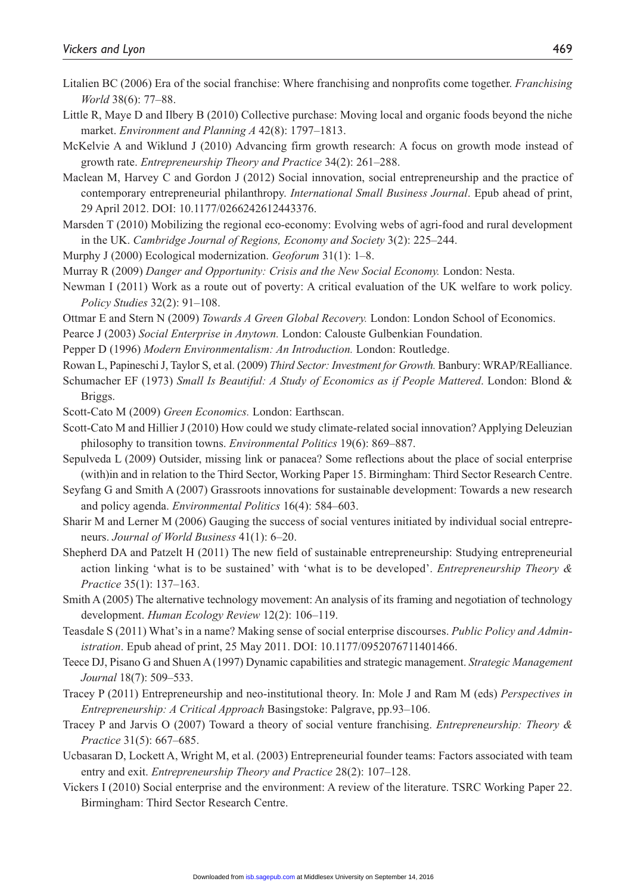- Litalien BC (2006) Era of the social franchise: Where franchising and nonprofits come together. *Franchising World* 38(6): 77–88.
- Little R, Maye D and Ilbery B (2010) Collective purchase: Moving local and organic foods beyond the niche market. *Environment and Planning A* 42(8): 1797–1813.
- McKelvie A and Wiklund J (2010) Advancing firm growth research: A focus on growth mode instead of growth rate. *Entrepreneurship Theory and Practice* 34(2): 261–288.
- Maclean M, Harvey C and Gordon J (2012) Social innovation, social entrepreneurship and the practice of contemporary entrepreneurial philanthropy. *International Small Business Journal*. Epub ahead of print, 29 April 2012. DOI: 10.1177/0266242612443376.
- Marsden T (2010) Mobilizing the regional eco-economy: Evolving webs of agri-food and rural development in the UK. *Cambridge Journal of Regions, Economy and Society* 3(2): 225–244.

Murphy J (2000) Ecological modernization. *Geoforum* 31(1): 1–8.

Murray R (2009) *Danger and Opportunity: Crisis and the New Social Economy.* London: Nesta.

- Newman I (2011) Work as a route out of poverty: A critical evaluation of the UK welfare to work policy. *Policy Studies* 32(2): 91–108.
- Ottmar E and Stern N (2009) *Towards A Green Global Recovery.* London: London School of Economics.
- Pearce J (2003) *Social Enterprise in Anytown.* London: Calouste Gulbenkian Foundation.
- Pepper D (1996) *Modern Environmentalism: An Introduction.* London: Routledge.
- Rowan L, Papineschi J, Taylor S, et al. (2009) *Third Sector: Investment for Growth.* Banbury: WRAP/REalliance.
- Schumacher EF (1973) *Small Is Beautiful: A Study of Economics as if People Mattered*. London: Blond & Briggs.

Scott-Cato M (2009) *Green Economics.* London: Earthscan.

- Scott-Cato M and Hillier J (2010) How could we study climate-related social innovation? Applying Deleuzian philosophy to transition towns. *Environmental Politics* 19(6): 869–887.
- Sepulveda L (2009) Outsider, missing link or panacea? Some reflections about the place of social enterprise (with)in and in relation to the Third Sector, Working Paper 15. Birmingham: Third Sector Research Centre.
- Seyfang G and Smith A (2007) Grassroots innovations for sustainable development: Towards a new research and policy agenda. *Environmental Politics* 16(4): 584–603.
- Sharir M and Lerner M (2006) Gauging the success of social ventures initiated by individual social entrepreneurs. *Journal of World Business* 41(1): 6–20.
- Shepherd DA and Patzelt H (2011) The new field of sustainable entrepreneurship: Studying entrepreneurial action linking 'what is to be sustained' with 'what is to be developed'. *Entrepreneurship Theory & Practice* 35(1): 137–163.
- Smith A (2005) The alternative technology movement: An analysis of its framing and negotiation of technology development. *Human Ecology Review* 12(2): 106–119.
- Teasdale S (2011) What's in a name? Making sense of social enterprise discourses. *Public Policy and Administration*. Epub ahead of print, 25 May 2011. DOI: 10.1177/0952076711401466.
- Teece DJ, Pisano G and Shuen A (1997) Dynamic capabilities and strategic management. *Strategic Management Journal* 18(7): 509–533.
- Tracey P (2011) Entrepreneurship and neo-institutional theory. In: Mole J and Ram M (eds) *Perspectives in Entrepreneurship: A Critical Approach* Basingstoke: Palgrave, pp.93–106.
- Tracey P and Jarvis O (2007) Toward a theory of social venture franchising. *Entrepreneurship: Theory & Practice* 31(5): 667–685.
- Ucbasaran D, Lockett A, Wright M, et al. (2003) Entrepreneurial founder teams: Factors associated with team entry and exit. *Entrepreneurship Theory and Practice* 28(2): 107–128.
- Vickers I (2010) Social enterprise and the environment: A review of the literature. TSRC Working Paper 22. Birmingham: Third Sector Research Centre.